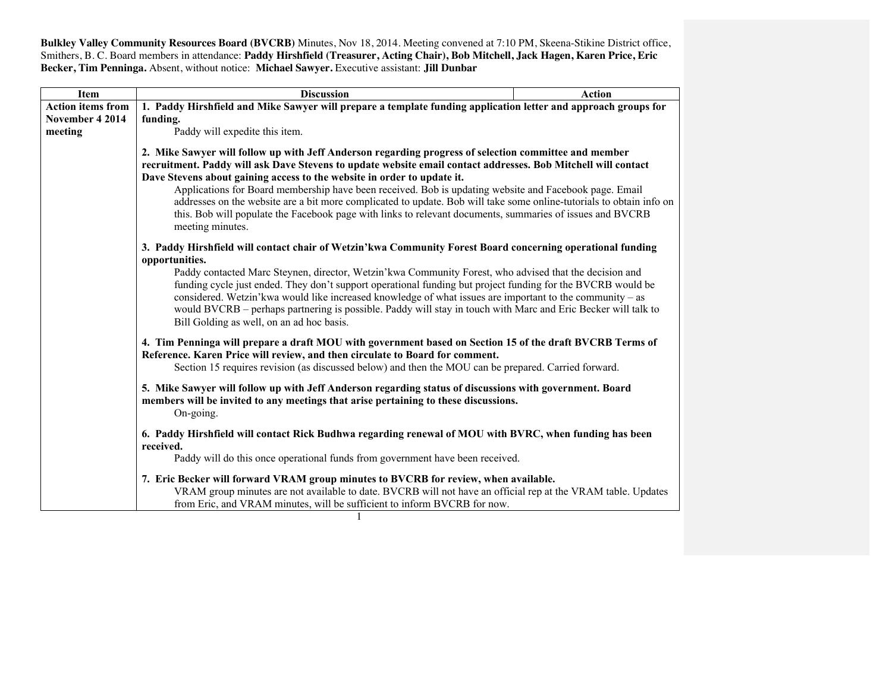**Bulkley Valley Community Resources Board (BVCRB)** Minutes, Nov 18, 2014. Meeting convened at 7:10 PM, Skeena-Stikine District office, Smithers, B. C. Board members in attendance: **Paddy Hirshfield (Treasurer, Acting Chair), Bob Mitchell, Jack Hagen, Karen Price, Eric Becker, Tim Penninga.** Absent, without notice: **Michael Sawyer.** Executive assistant: **Jill Dunbar**

| <b>Item</b>              | <b>Discussion</b>                                                                                                                                                                                                                      | <b>Action</b> |  |  |
|--------------------------|----------------------------------------------------------------------------------------------------------------------------------------------------------------------------------------------------------------------------------------|---------------|--|--|
| <b>Action items from</b> | 1. Paddy Hirshfield and Mike Sawyer will prepare a template funding application letter and approach groups for                                                                                                                         |               |  |  |
| November 4 2014          | funding.                                                                                                                                                                                                                               |               |  |  |
| meeting                  | Paddy will expedite this item.                                                                                                                                                                                                         |               |  |  |
|                          | 2. Mike Sawyer will follow up with Jeff Anderson regarding progress of selection committee and member                                                                                                                                  |               |  |  |
|                          | recruitment. Paddy will ask Dave Stevens to update website email contact addresses. Bob Mitchell will contact                                                                                                                          |               |  |  |
|                          | Dave Stevens about gaining access to the website in order to update it.<br>Applications for Board membership have been received. Bob is updating website and Facebook page. Email                                                      |               |  |  |
|                          |                                                                                                                                                                                                                                        |               |  |  |
|                          | addresses on the website are a bit more complicated to update. Bob will take some online-tutorials to obtain info on                                                                                                                   |               |  |  |
|                          | this. Bob will populate the Facebook page with links to relevant documents, summaries of issues and BVCRB                                                                                                                              |               |  |  |
|                          | meeting minutes.                                                                                                                                                                                                                       |               |  |  |
|                          | 3. Paddy Hirshfield will contact chair of Wetzin'kwa Community Forest Board concerning operational funding<br>opportunities.<br>Paddy contacted Marc Steynen, director, Wetzin'kwa Community Forest, who advised that the decision and |               |  |  |
|                          |                                                                                                                                                                                                                                        |               |  |  |
|                          |                                                                                                                                                                                                                                        |               |  |  |
|                          | funding cycle just ended. They don't support operational funding but project funding for the BVCRB would be                                                                                                                            |               |  |  |
|                          | considered. Wetzin'kwa would like increased knowledge of what issues are important to the community – as                                                                                                                               |               |  |  |
|                          | would BVCRB – perhaps partnering is possible. Paddy will stay in touch with Marc and Eric Becker will talk to                                                                                                                          |               |  |  |
|                          | Bill Golding as well, on an ad hoc basis.                                                                                                                                                                                              |               |  |  |
|                          | 4. Tim Penninga will prepare a draft MOU with government based on Section 15 of the draft BVCRB Terms of                                                                                                                               |               |  |  |
|                          | Reference. Karen Price will review, and then circulate to Board for comment.                                                                                                                                                           |               |  |  |
|                          | Section 15 requires revision (as discussed below) and then the MOU can be prepared. Carried forward.                                                                                                                                   |               |  |  |
|                          |                                                                                                                                                                                                                                        |               |  |  |
|                          | 5. Mike Sawyer will follow up with Jeff Anderson regarding status of discussions with government. Board<br>members will be invited to any meetings that arise pertaining to these discussions.<br>On-going.                            |               |  |  |
|                          |                                                                                                                                                                                                                                        |               |  |  |
|                          | 6. Paddy Hirshfield will contact Rick Budhwa regarding renewal of MOU with BVRC, when funding has been                                                                                                                                 |               |  |  |
|                          |                                                                                                                                                                                                                                        |               |  |  |
|                          | received.                                                                                                                                                                                                                              |               |  |  |
|                          | Paddy will do this once operational funds from government have been received.                                                                                                                                                          |               |  |  |
|                          | 7. Eric Becker will forward VRAM group minutes to BVCRB for review, when available.                                                                                                                                                    |               |  |  |
|                          | VRAM group minutes are not available to date. BVCRB will not have an official rep at the VRAM table. Updates                                                                                                                           |               |  |  |
|                          |                                                                                                                                                                                                                                        |               |  |  |
|                          | from Eric, and VRAM minutes, will be sufficient to inform BVCRB for now.                                                                                                                                                               |               |  |  |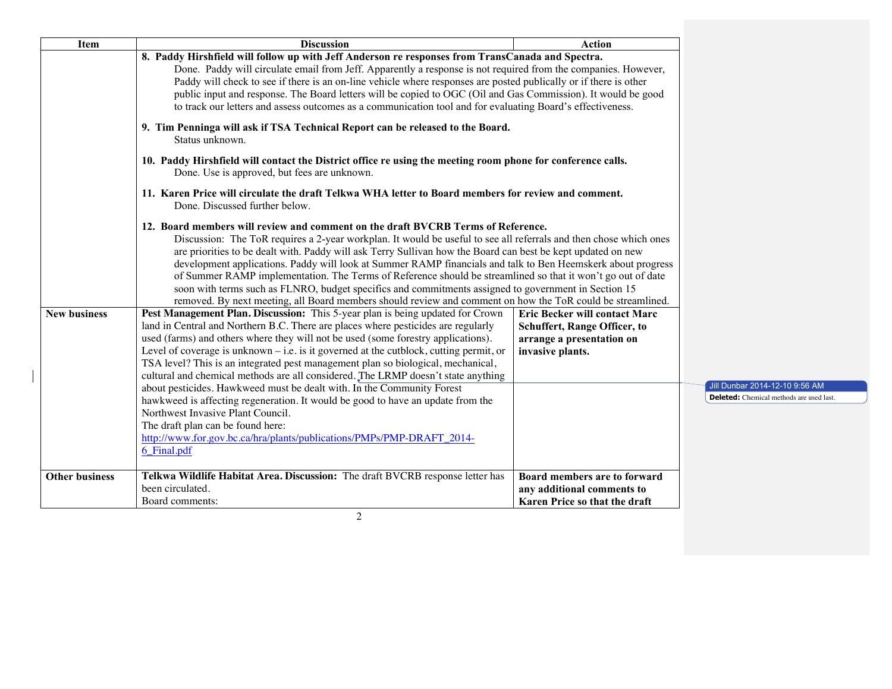| <b>Item</b>           | <b>Discussion</b>                                                                                                                                                                                                                                                                                                                                                                                                                                                                                                                                                                                                                                                                                                                                                          | <b>Action</b>                                                                                                         |                                                                                  |
|-----------------------|----------------------------------------------------------------------------------------------------------------------------------------------------------------------------------------------------------------------------------------------------------------------------------------------------------------------------------------------------------------------------------------------------------------------------------------------------------------------------------------------------------------------------------------------------------------------------------------------------------------------------------------------------------------------------------------------------------------------------------------------------------------------------|-----------------------------------------------------------------------------------------------------------------------|----------------------------------------------------------------------------------|
|                       | 8. Paddy Hirshfield will follow up with Jeff Anderson re responses from TransCanada and Spectra.<br>Done. Paddy will circulate email from Jeff. Apparently a response is not required from the companies. However,<br>Paddy will check to see if there is an on-line vehicle where responses are posted publically or if there is other<br>public input and response. The Board letters will be copied to OGC (Oil and Gas Commission). It would be good<br>to track our letters and assess outcomes as a communication tool and for evaluating Board's effectiveness.                                                                                                                                                                                                     |                                                                                                                       |                                                                                  |
|                       | 9. Tim Penninga will ask if TSA Technical Report can be released to the Board.<br>Status unknown.                                                                                                                                                                                                                                                                                                                                                                                                                                                                                                                                                                                                                                                                          |                                                                                                                       |                                                                                  |
|                       | 10. Paddy Hirshfield will contact the District office re using the meeting room phone for conference calls.<br>Done. Use is approved, but fees are unknown.                                                                                                                                                                                                                                                                                                                                                                                                                                                                                                                                                                                                                |                                                                                                                       |                                                                                  |
|                       | 11. Karen Price will circulate the draft Telkwa WHA letter to Board members for review and comment.<br>Done. Discussed further below.                                                                                                                                                                                                                                                                                                                                                                                                                                                                                                                                                                                                                                      |                                                                                                                       |                                                                                  |
|                       | 12. Board members will review and comment on the draft BVCRB Terms of Reference.<br>Discussion: The ToR requires a 2-year workplan. It would be useful to see all referrals and then chose which ones<br>are priorities to be dealt with. Paddy will ask Terry Sullivan how the Board can best be kept updated on new<br>development applications. Paddy will look at Summer RAMP financials and talk to Ben Heemskerk about progress<br>of Summer RAMP implementation. The Terms of Reference should be streamlined so that it won't go out of date<br>soon with terms such as FLNRO, budget specifics and commitments assigned to government in Section 15<br>removed. By next meeting, all Board members should review and comment on how the ToR could be streamlined. |                                                                                                                       |                                                                                  |
| <b>New business</b>   | Pest Management Plan. Discussion: This 5-year plan is being updated for Crown<br>land in Central and Northern B.C. There are places where pesticides are regularly<br>used (farms) and others where they will not be used (some forestry applications).<br>Level of coverage is unknown $-$ i.e. is it governed at the cutblock, cutting permit, or<br>TSA level? This is an integrated pest management plan so biological, mechanical,                                                                                                                                                                                                                                                                                                                                    | Eric Becker will contact Marc<br><b>Schuffert, Range Officer, to</b><br>arrange a presentation on<br>invasive plants. |                                                                                  |
|                       | cultural and chemical methods are all considered. The LRMP doesn't state anything<br>about pesticides. Hawkweed must be dealt with. In the Community Forest<br>hawkweed is affecting regeneration. It would be good to have an update from the<br>Northwest Invasive Plant Council.<br>The draft plan can be found here:<br>http://www.for.gov.bc.ca/hra/plants/publications/PMPs/PMP-DRAFT_2014-<br>6_Final.pdf                                                                                                                                                                                                                                                                                                                                                           |                                                                                                                       | Jill Dunbar 2014-12-10 9:56 AM<br><b>Deleted:</b> Chemical methods are used last |
| <b>Other business</b> | Telkwa Wildlife Habitat Area. Discussion: The draft BVCRB response letter has<br>been circulated.<br>Board comments:                                                                                                                                                                                                                                                                                                                                                                                                                                                                                                                                                                                                                                                       | Board members are to forward<br>any additional comments to<br>Karen Price so that the draft                           |                                                                                  |

2